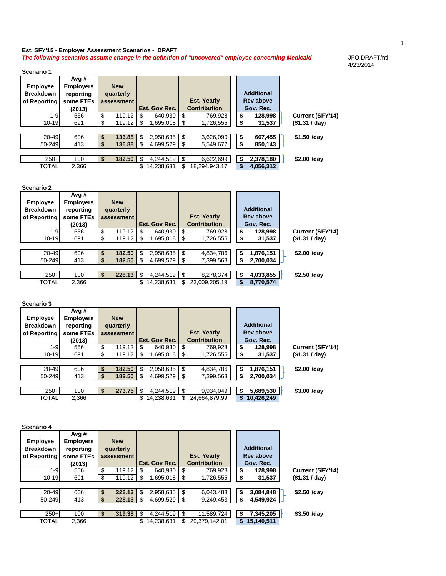## **Est. SFY'15 - Employer Assessment Scenarios - DRAFT The following scenarios assume change in the definition of "uncovered" employee concerning Medicaid** JFO DRAFT/ntl

 $\overline{\phantom{a}}$ 

**Scenario 1**

**Avg #** 

H

4/23/2014

| <b>Employee</b>    | <b>Employers</b> | <b>New</b>                         |                                        |                                           |                                        |                         |
|--------------------|------------------|------------------------------------|----------------------------------------|-------------------------------------------|----------------------------------------|-------------------------|
| <b>Breakdown</b>   | reporting        | quarterly                          |                                        |                                           | <b>Additional</b>                      |                         |
| of Reporting       | some FTEs        | assessment                         |                                        | <b>Est. Yearly</b>                        | <b>Rev above</b>                       |                         |
|                    | (2013)           |                                    | Est. Gov Rec.                          | <b>Contribution</b>                       | Gov. Rec.                              |                         |
| $1 - 9$            | 556              | \$<br>119.12                       | $\boldsymbol{\mathsf{S}}$<br>640,930   | $\overline{\$}$<br>769,928                | \$<br>128,998                          | <b>Current (SFY'14)</b> |
| $10 - 19$          | 691              | $\overline{\$}$<br>119.12          | \$<br>1,695,018                        | \$<br>1,726,555                           | \$<br>31,537                           | (\$1.31 / day)          |
|                    |                  |                                    |                                        |                                           |                                        |                         |
| 20-49              | 606              | \$<br>136.88                       | \$<br>2,958,635                        | \$<br>3,626,090                           | \$<br>667,455                          | \$1.50 /day             |
| 50-249             | 413              | $\bullet$<br>136.88                | \$<br>4,699,529                        | \$<br>5,549,672                           | \$<br>850,143                          |                         |
|                    |                  |                                    |                                        |                                           |                                        |                         |
| $250+$             | 100              | \$<br>182.50                       | \$<br>4,244,519                        | \$<br>6,622,699                           | $\boldsymbol{\mathsf{s}}$<br>2,378,180 | \$2.00 /day             |
| <b>TOTAL</b>       | 2,366            |                                    | $\overline{\$}$ 14,238,631             | $\overline{\mathcal{S}}$<br>18,294,943.17 | $\overline{\$}$<br>4,056,312           |                         |
|                    |                  |                                    |                                        |                                           |                                        |                         |
|                    |                  |                                    |                                        |                                           |                                        |                         |
| <b>Scenario 2</b>  |                  |                                    |                                        |                                           |                                        |                         |
|                    | Avg #            |                                    |                                        |                                           |                                        |                         |
| <b>Employee</b>    | <b>Employers</b> | <b>New</b>                         |                                        |                                           |                                        |                         |
| <b>Breakdown</b>   | reporting        | quarterly                          |                                        |                                           | <b>Additional</b>                      |                         |
| of Reporting       | some FTEs        | assessment                         |                                        | <b>Est. Yearly</b>                        | <b>Rev above</b>                       |                         |
|                    | (2013)           |                                    | Est. Gov Rec.                          | <b>Contribution</b>                       | Gov. Rec.                              |                         |
| $1 - 9$            | 556              | \$<br>119.12                       | \$<br>640,930                          | $\boldsymbol{\mathsf{\$}}$<br>769,928     | \$<br>128,998                          | <b>Current (SFY'14)</b> |
| $10 - 19$          | 691              | $\overline{\mathcal{G}}$<br>119.12 | \$<br>1,695,018                        | \$<br>1,726,555                           | \$<br>31,537                           | (\$1.31 / day)          |
|                    |                  |                                    |                                        |                                           |                                        |                         |
| $20 - 49$          | 606              | \$<br>182.50                       | $\boldsymbol{\mathsf{S}}$<br>2,958,635 | $\boldsymbol{\mathsf{S}}$<br>4,834,786    | \$<br>1,876,151                        | \$2.00 /day             |
| 50-249             | 413              | $\overline{\mathbf{S}}$<br>182.50  | \$<br>4,699,529                        | \$<br>7,399,563                           | \$<br>2,700,034                        |                         |
|                    |                  |                                    |                                        |                                           |                                        |                         |
| $250+$             | 100              | \$<br>228.13                       | $\boldsymbol{\mathsf{S}}$<br>4,244,519 | $\boldsymbol{\mathsf{S}}$<br>8,278,374    | $\overline{\bullet}$<br>4,033,855      | \$2.50 /day             |
| <b>TOTAL</b>       | 2,366            |                                    | \$14,238,631                           | 23,009,205.19<br>$\mathcal{L}$            | $\overline{\mathbf{s}}$<br>8,770,574   |                         |
|                    |                  |                                    |                                        |                                           |                                        |                         |
|                    |                  |                                    |                                        |                                           |                                        |                         |
| <b>Scenario 3</b>  |                  |                                    |                                        |                                           |                                        |                         |
|                    |                  |                                    |                                        |                                           |                                        |                         |
|                    |                  |                                    |                                        |                                           |                                        |                         |
|                    | Avg #            |                                    |                                        |                                           |                                        |                         |
| <b>Employee</b>    | <b>Employers</b> | <b>New</b>                         |                                        |                                           | <b>Additional</b>                      |                         |
| <b>Breakdown</b>   | reporting        | quarterly                          |                                        |                                           |                                        |                         |
| of Reporting       | some FTEs        | assessment                         |                                        | <b>Est. Yearly</b>                        | <b>Rev above</b>                       |                         |
|                    | (2013)           |                                    | Est. Gov Rec.                          | <b>Contribution</b>                       | Gov. Rec.                              |                         |
| $1-9$              | 556              | \$<br>$119.12$   \$                | 640,930                                | \$<br>769,928                             | \$<br>128,998                          | Current (SFY'14)        |
| $10 - 19$          | 691              | $\overline{\$}$<br>119.12          | \$<br>1,695,018                        | 1,726,555<br>\$                           | \$<br>31,537                           | (\$1.31 / day)          |
|                    |                  |                                    |                                        |                                           |                                        |                         |
| $\overline{20-49}$ | 606              | \$<br>182.50                       | 2,958,635<br>\$                        | $\boldsymbol{\mathsf{S}}$<br>4,834,786    | \$<br>1,876,151                        | \$2.00 /day             |
| 50-249             | 413              | $\overline{\mathbf{S}}$<br>182.50  | $\boldsymbol{\mathsf{S}}$<br>4,699,529 | \$<br>7,399,563                           | \$<br>2,700,034                        |                         |
|                    |                  |                                    |                                        |                                           |                                        |                         |
| $250+$             | 100              | 273.75<br>\$                       | \$<br>4,244,519                        | $\boldsymbol{\mathsf{S}}$<br>9,934,049    | 5,689,530<br>\$                        | \$3.00 /day             |
| <b>TOTAL</b>       | 2,366            |                                    | \$14,238,631                           | $\mathfrak{S}$<br>24,664,879.99           | $\overline{10,426,249}$                |                         |
|                    |                  |                                    |                                        |                                           |                                        |                         |
|                    |                  |                                    |                                        |                                           |                                        |                         |
|                    |                  |                                    |                                        |                                           |                                        |                         |
| Scenario 4         |                  |                                    |                                        |                                           |                                        |                         |
|                    | Avg #            |                                    |                                        |                                           |                                        |                         |
| <b>Employee</b>    | <b>Employers</b> | <b>New</b>                         |                                        |                                           |                                        |                         |
| <b>Breakdown</b>   | reporting        | quarterly                          |                                        |                                           | <b>Additional</b>                      |                         |
| of Reporting       | some FTEs        | assessment                         |                                        | <b>Est. Yearly</b>                        | <b>Rev above</b>                       |                         |
|                    | (2013)           |                                    | Est. Gov Rec.                          | <b>Contribution</b>                       | Gov. Rec.                              |                         |
| $1 - 9$            | 556              | \$<br>119.12                       | $\frac{1}{2}$<br>640,930               | $\overline{\mathbf{e}}$<br>769,928        | \$<br>128,998                          | <b>Current (SFY'14)</b> |
| $10 - 19$          | 691              | \$<br>119.12                       | \$<br>1,695,018                        | \$<br>1,726,555                           | \$<br>31,537                           | (\$1.31 / day)          |
|                    |                  |                                    |                                        |                                           |                                        |                         |
| $20 - 49$          | 606              | $\frac{1}{2}$<br>228.13            | \$<br>2,958,635                        | $\boldsymbol{\mathsf{\$}}$<br>6,043,483   | \$<br>3,084,848                        | \$2.50 /day             |
| 50-249             | 413              | $\overline{\$}$<br>228.13          | \$<br>4,699,529                        | \$<br>9,249,453                           | \$<br>4,549,924                        |                         |
|                    |                  |                                    |                                        |                                           |                                        |                         |
| $250+$             | 100              | \$<br>319.38                       | \$<br>4,244,519                        | \$<br>11,589,724                          | 7,345,205<br>\$                        | \$3.50 /day             |
| <b>TOTAL</b>       | 2,366            |                                    | \$<br>14,238,631                       | \$<br>29,379,142.01                       | \$15,140,511                           |                         |